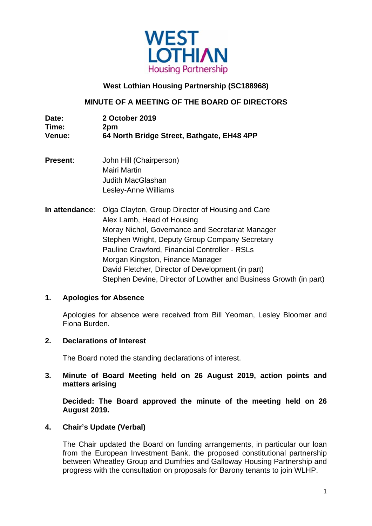

## **West Lothian Housing Partnership (SC188968)**

## **MINUTE OF A MEETING OF THE BOARD OF DIRECTORS**

| Date:         | 2 October 2019                             |
|---------------|--------------------------------------------|
| Time:         | 2pm                                        |
| <b>Venue:</b> | 64 North Bridge Street, Bathgate, EH48 4PP |

- **Present:** John Hill (Chairperson) Mairi Martin Judith MacGlashan Lesley-Anne Williams
- **In attendance**: Olga Clayton, Group Director of Housing and Care Alex Lamb, Head of Housing Moray Nichol, Governance and Secretariat Manager Stephen Wright, Deputy Group Company Secretary Pauline Crawford, Financial Controller - RSLs Morgan Kingston, Finance Manager David Fletcher, Director of Development (in part) Stephen Devine, Director of Lowther and Business Growth (in part)

### **1. Apologies for Absence**

 Apologies for absence were received from Bill Yeoman, Lesley Bloomer and Fiona Burden.

#### **2. Declarations of Interest**

The Board noted the standing declarations of interest.

### **3. Minute of Board Meeting held on 26 August 2019, action points and matters arising**

 **Decided: The Board approved the minute of the meeting held on 26 August 2019.** 

#### **4. Chair's Update (Verbal)**

 The Chair updated the Board on funding arrangements, in particular our loan from the European Investment Bank, the proposed constitutional partnership between Wheatley Group and Dumfries and Galloway Housing Partnership and progress with the consultation on proposals for Barony tenants to join WLHP.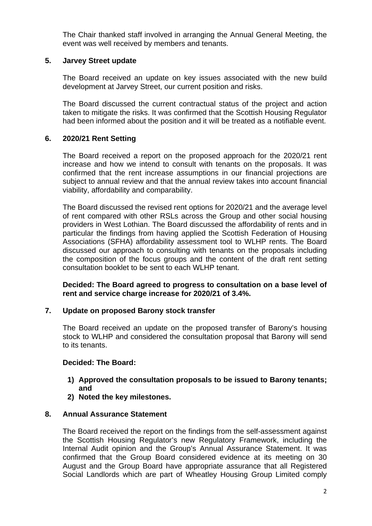The Chair thanked staff involved in arranging the Annual General Meeting, the event was well received by members and tenants.

## **5. Jarvey Street update**

 The Board received an update on key issues associated with the new build development at Jarvey Street, our current position and risks.

The Board discussed the current contractual status of the project and action taken to mitigate the risks. It was confirmed that the Scottish Housing Regulator had been informed about the position and it will be treated as a notifiable event.

# **6. 2020/21 Rent Setting**

 The Board received a report on the proposed approach for the 2020/21 rent increase and how we intend to consult with tenants on the proposals. It was confirmed that the rent increase assumptions in our financial projections are subject to annual review and that the annual review takes into account financial viability, affordability and comparability.

 The Board discussed the revised rent options for 2020/21 and the average level of rent compared with other RSLs across the Group and other social housing providers in West Lothian. The Board discussed the affordability of rents and in particular the findings from having applied the Scottish Federation of Housing Associations (SFHA) affordability assessment tool to WLHP rents. The Board discussed our approach to consulting with tenants on the proposals including the composition of the focus groups and the content of the draft rent setting consultation booklet to be sent to each WLHP tenant.

**Decided: The Board agreed to progress to consultation on a base level of rent and service charge increase for 2020/21 of 3.4%.** 

# **7. Update on proposed Barony stock transfer**

 The Board received an update on the proposed transfer of Barony's housing stock to WLHP and considered the consultation proposal that Barony will send to its tenants.

#### **Decided: The Board:**

- **1) Approved the consultation proposals to be issued to Barony tenants; and**
- **2) Noted the key milestones.**

### **8. Annual Assurance Statement**

 The Board received the report on the findings from the self-assessment against the Scottish Housing Regulator's new Regulatory Framework, including the Internal Audit opinion and the Group's Annual Assurance Statement. It was confirmed that the Group Board considered evidence at its meeting on 30 August and the Group Board have appropriate assurance that all Registered Social Landlords which are part of Wheatley Housing Group Limited comply